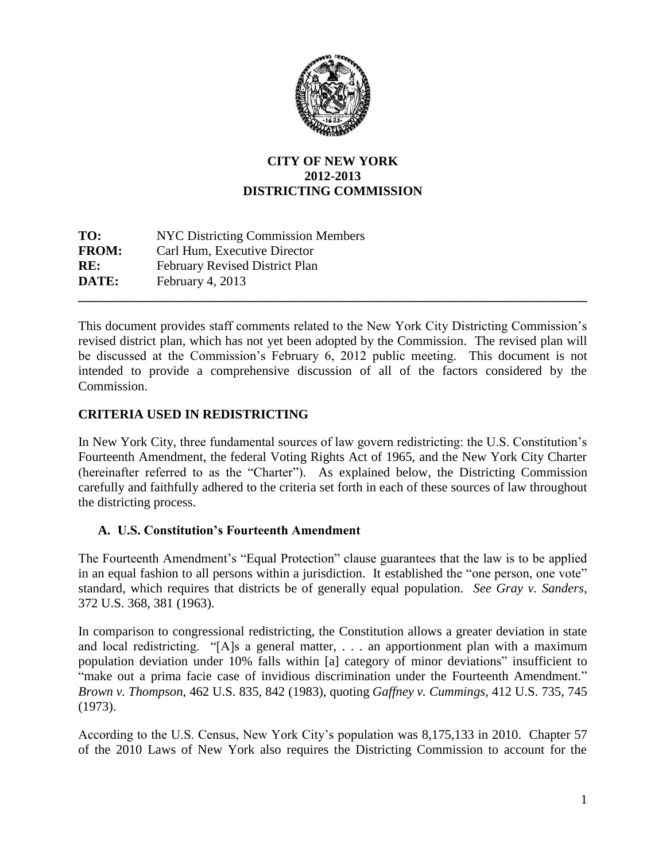

## **CITY OF NEW YORK 2012-2013 DISTRICTING COMMISSION**

**TO:** NYC Districting Commission Members **FROM:** Carl Hum, Executive Director **RE:** February Revised District Plan **DATE:** February 4, 2013 **\_\_\_\_\_\_\_\_\_\_\_\_\_\_\_\_\_\_\_\_\_\_\_\_\_\_\_\_\_\_\_\_\_\_\_\_\_\_\_\_\_\_\_\_\_\_\_\_\_\_\_\_\_\_\_\_\_\_\_\_\_\_\_\_\_\_\_\_\_\_\_\_\_\_\_\_\_\_**

This document provides staff comments related to the New York City Districting Commission's revised district plan, which has not yet been adopted by the Commission. The revised plan will be discussed at the Commission's February 6, 2012 public meeting. This document is not intended to provide a comprehensive discussion of all of the factors considered by the Commission.

## **CRITERIA USED IN REDISTRICTING**

In New York City, three fundamental sources of law govern redistricting: the U.S. Constitution's Fourteenth Amendment, the federal Voting Rights Act of 1965, and the New York City Charter (hereinafter referred to as the "Charter"). As explained below, the Districting Commission carefully and faithfully adhered to the criteria set forth in each of these sources of law throughout the districting process.

### **A. U.S. Constitution's Fourteenth Amendment**

The Fourteenth Amendment's "Equal Protection" clause guarantees that the law is to be applied in an equal fashion to all persons within a jurisdiction. It established the "one person, one vote" standard, which requires that districts be of generally equal population. *See Gray v. Sanders*, 372 U.S. 368, 381 (1963).

In comparison to congressional redistricting, the Constitution allows a greater deviation in state and local redistricting. "[A]s a general matter, . . . an apportionment plan with a maximum population deviation under 10% falls within [a] category of minor deviations" insufficient to "make out a prima facie case of invidious discrimination under the Fourteenth Amendment." *Brown v. Thompson*, 462 U.S. 835, 842 (1983), quoting *Gaffney v. Cummings*, 412 U.S. 735, 745 (1973).

According to the U.S. Census, New York City's population was 8,175,133 in 2010. Chapter 57 of the 2010 Laws of New York also requires the Districting Commission to account for the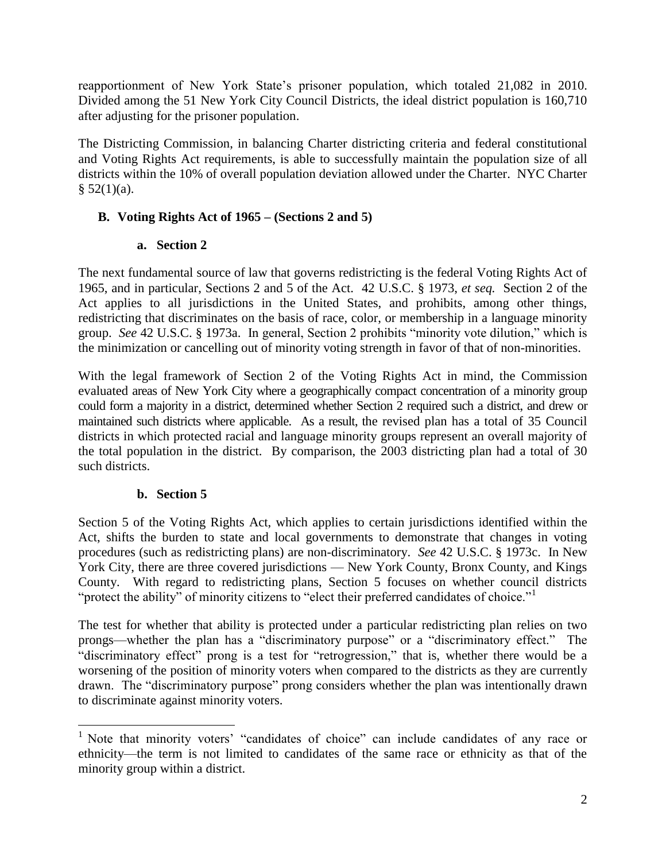reapportionment of New York State's prisoner population, which totaled 21,082 in 2010. Divided among the 51 New York City Council Districts, the ideal district population is 160,710 after adjusting for the prisoner population.

The Districting Commission, in balancing Charter districting criteria and federal constitutional and Voting Rights Act requirements, is able to successfully maintain the population size of all districts within the 10% of overall population deviation allowed under the Charter. NYC Charter  $§ 52(1)(a).$ 

## **B. Voting Rights Act of 1965 – (Sections 2 and 5)**

### **a. Section 2**

The next fundamental source of law that governs redistricting is the federal Voting Rights Act of 1965, and in particular, Sections 2 and 5 of the Act. 42 U.S.C. § 1973, *et seq.* Section 2 of the Act applies to all jurisdictions in the United States, and prohibits, among other things, redistricting that discriminates on the basis of race, color, or membership in a language minority group. *See* 42 U.S.C. § 1973a. In general, Section 2 prohibits "minority vote dilution," which is the minimization or cancelling out of minority voting strength in favor of that of non-minorities.

With the legal framework of Section 2 of the Voting Rights Act in mind, the Commission evaluated areas of New York City where a geographically compact concentration of a minority group could form a majority in a district, determined whether Section 2 required such a district, and drew or maintained such districts where applicable. As a result, the revised plan has a total of 35 Council districts in which protected racial and language minority groups represent an overall majority of the total population in the district. By comparison, the 2003 districting plan had a total of 30 such districts.

# **b. Section 5**

Section 5 of the Voting Rights Act, which applies to certain jurisdictions identified within the Act, shifts the burden to state and local governments to demonstrate that changes in voting procedures (such as redistricting plans) are non-discriminatory. *See* 42 U.S.C. § 1973c. In New York City, there are three covered jurisdictions — New York County, Bronx County, and Kings County. With regard to redistricting plans, Section 5 focuses on whether council districts "protect the ability" of minority citizens to "elect their preferred candidates of choice."<sup>1</sup>

The test for whether that ability is protected under a particular redistricting plan relies on two prongs—whether the plan has a "discriminatory purpose" or a "discriminatory effect." The "discriminatory effect" prong is a test for "retrogression," that is, whether there would be a worsening of the position of minority voters when compared to the districts as they are currently drawn. The "discriminatory purpose" prong considers whether the plan was intentionally drawn to discriminate against minority voters.

 $\overline{\phantom{a}}$ <sup>1</sup> Note that minority voters' "candidates of choice" can include candidates of any race or ethnicity—the term is not limited to candidates of the same race or ethnicity as that of the minority group within a district.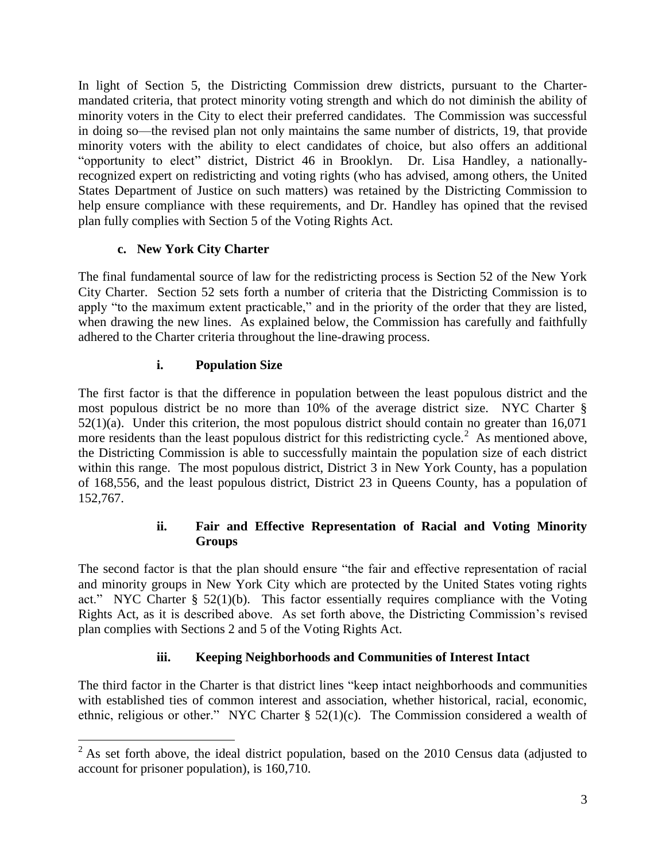In light of Section 5, the Districting Commission drew districts, pursuant to the Chartermandated criteria, that protect minority voting strength and which do not diminish the ability of minority voters in the City to elect their preferred candidates. The Commission was successful in doing so—the revised plan not only maintains the same number of districts, 19, that provide minority voters with the ability to elect candidates of choice, but also offers an additional "opportunity to elect" district, District 46 in Brooklyn. Dr. Lisa Handley, a nationallyrecognized expert on redistricting and voting rights (who has advised, among others, the United States Department of Justice on such matters) was retained by the Districting Commission to help ensure compliance with these requirements, and Dr. Handley has opined that the revised plan fully complies with Section 5 of the Voting Rights Act.

# **c. New York City Charter**

The final fundamental source of law for the redistricting process is Section 52 of the New York City Charter. Section 52 sets forth a number of criteria that the Districting Commission is to apply "to the maximum extent practicable," and in the priority of the order that they are listed, when drawing the new lines. As explained below, the Commission has carefully and faithfully adhered to the Charter criteria throughout the line-drawing process.

## **i. Population Size**

The first factor is that the difference in population between the least populous district and the most populous district be no more than 10% of the average district size. NYC Charter § 52(1)(a). Under this criterion, the most populous district should contain no greater than 16,071 more residents than the least populous district for this redistricting cycle.<sup>2</sup> As mentioned above, the Districting Commission is able to successfully maintain the population size of each district within this range. The most populous district, District 3 in New York County, has a population of 168,556, and the least populous district, District 23 in Queens County, has a population of 152,767.

## **ii. Fair and Effective Representation of Racial and Voting Minority Groups**

The second factor is that the plan should ensure "the fair and effective representation of racial and minority groups in New York City which are protected by the United States voting rights act." NYC Charter § 52(1)(b). This factor essentially requires compliance with the Voting Rights Act, as it is described above. As set forth above, the Districting Commission's revised plan complies with Sections 2 and 5 of the Voting Rights Act.

# **iii. Keeping Neighborhoods and Communities of Interest Intact**

The third factor in the Charter is that district lines "keep intact neighborhoods and communities with established ties of common interest and association, whether historical, racial, economic, ethnic, religious or other." NYC Charter § 52(1)(c). The Commission considered a wealth of

 $\overline{\phantom{a}}$  $2^2$  As set forth above, the ideal district population, based on the 2010 Census data (adjusted to account for prisoner population), is 160,710.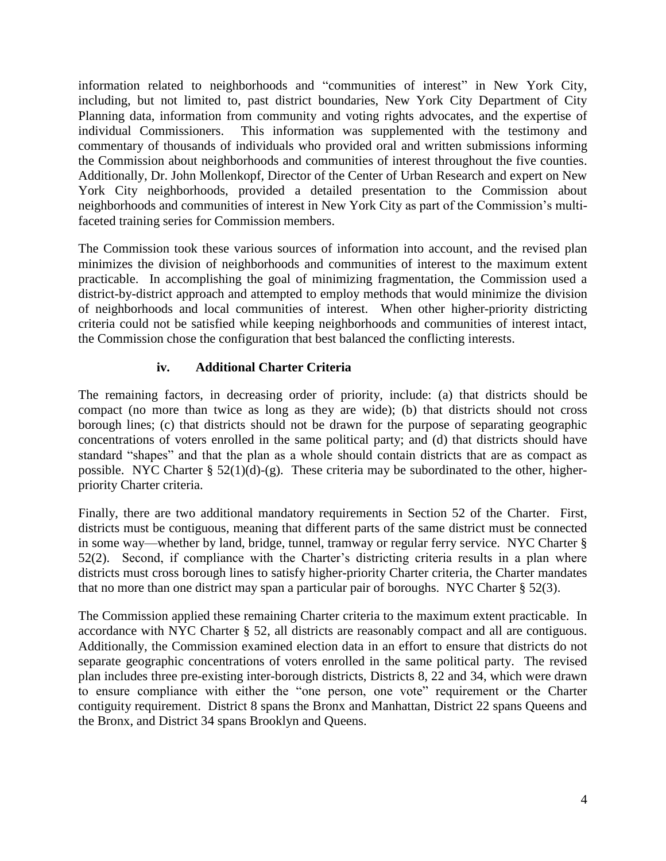information related to neighborhoods and "communities of interest" in New York City, including, but not limited to, past district boundaries, New York City Department of City Planning data, information from community and voting rights advocates, and the expertise of individual Commissioners. This information was supplemented with the testimony and commentary of thousands of individuals who provided oral and written submissions informing the Commission about neighborhoods and communities of interest throughout the five counties. Additionally, Dr. John Mollenkopf, Director of the Center of Urban Research and expert on New York City neighborhoods, provided a detailed presentation to the Commission about neighborhoods and communities of interest in New York City as part of the Commission's multifaceted training series for Commission members.

The Commission took these various sources of information into account, and the revised plan minimizes the division of neighborhoods and communities of interest to the maximum extent practicable. In accomplishing the goal of minimizing fragmentation, the Commission used a district-by-district approach and attempted to employ methods that would minimize the division of neighborhoods and local communities of interest. When other higher-priority districting criteria could not be satisfied while keeping neighborhoods and communities of interest intact, the Commission chose the configuration that best balanced the conflicting interests.

# **iv. Additional Charter Criteria**

The remaining factors, in decreasing order of priority, include: (a) that districts should be compact (no more than twice as long as they are wide); (b) that districts should not cross borough lines; (c) that districts should not be drawn for the purpose of separating geographic concentrations of voters enrolled in the same political party; and (d) that districts should have standard "shapes" and that the plan as a whole should contain districts that are as compact as possible. NYC Charter  $\S 52(1)(d)-(g)$ . These criteria may be subordinated to the other, higherpriority Charter criteria.

Finally, there are two additional mandatory requirements in Section 52 of the Charter. First, districts must be contiguous, meaning that different parts of the same district must be connected in some way—whether by land, bridge, tunnel, tramway or regular ferry service. NYC Charter § 52(2). Second, if compliance with the Charter's districting criteria results in a plan where districts must cross borough lines to satisfy higher-priority Charter criteria, the Charter mandates that no more than one district may span a particular pair of boroughs. NYC Charter § 52(3).

The Commission applied these remaining Charter criteria to the maximum extent practicable. In accordance with NYC Charter § 52, all districts are reasonably compact and all are contiguous. Additionally, the Commission examined election data in an effort to ensure that districts do not separate geographic concentrations of voters enrolled in the same political party. The revised plan includes three pre-existing inter-borough districts, Districts 8, 22 and 34, which were drawn to ensure compliance with either the "one person, one vote" requirement or the Charter contiguity requirement. District 8 spans the Bronx and Manhattan, District 22 spans Queens and the Bronx, and District 34 spans Brooklyn and Queens.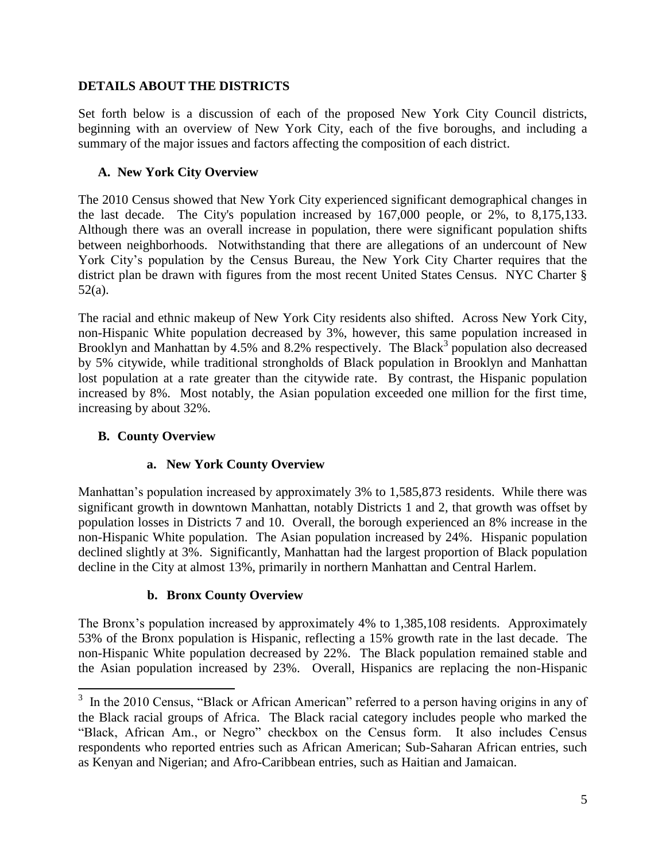### **DETAILS ABOUT THE DISTRICTS**

Set forth below is a discussion of each of the proposed New York City Council districts, beginning with an overview of New York City, each of the five boroughs, and including a summary of the major issues and factors affecting the composition of each district.

## **A. New York City Overview**

The 2010 Census showed that New York City experienced significant demographical changes in the last decade. The City's population increased by 167,000 people, or 2%, to 8,175,133. Although there was an overall increase in population, there were significant population shifts between neighborhoods. Notwithstanding that there are allegations of an undercount of New York City's population by the Census Bureau, the New York City Charter requires that the district plan be drawn with figures from the most recent United States Census. NYC Charter § 52(a).

The racial and ethnic makeup of New York City residents also shifted. Across New York City, non-Hispanic White population decreased by 3%, however, this same population increased in Brooklyn and Manhattan by 4.5% and 8.2% respectively. The Black<sup>3</sup> population also decreased by 5% citywide, while traditional strongholds of Black population in Brooklyn and Manhattan lost population at a rate greater than the citywide rate. By contrast, the Hispanic population increased by 8%. Most notably, the Asian population exceeded one million for the first time, increasing by about 32%.

## **B. County Overview**

### **a. New York County Overview**

Manhattan's population increased by approximately 3% to 1,585,873 residents. While there was significant growth in downtown Manhattan, notably Districts 1 and 2, that growth was offset by population losses in Districts 7 and 10. Overall, the borough experienced an 8% increase in the non-Hispanic White population. The Asian population increased by 24%. Hispanic population declined slightly at 3%. Significantly, Manhattan had the largest proportion of Black population decline in the City at almost 13%, primarily in northern Manhattan and Central Harlem.

### **b. Bronx County Overview**

The Bronx's population increased by approximately 4% to 1,385,108 residents. Approximately 53% of the Bronx population is Hispanic, reflecting a 15% growth rate in the last decade. The non-Hispanic White population decreased by 22%. The Black population remained stable and the Asian population increased by 23%. Overall, Hispanics are replacing the non-Hispanic

<sup>&</sup>lt;sup>3</sup> In the 2010 Census, "Black or African American" referred to a person having origins in any of the Black racial groups of Africa. The Black racial category includes people who marked the "Black, African Am., or Negro" checkbox on the Census form. It also includes Census respondents who reported entries such as African American; Sub-Saharan African entries, such as Kenyan and Nigerian; and Afro-Caribbean entries, such as Haitian and Jamaican.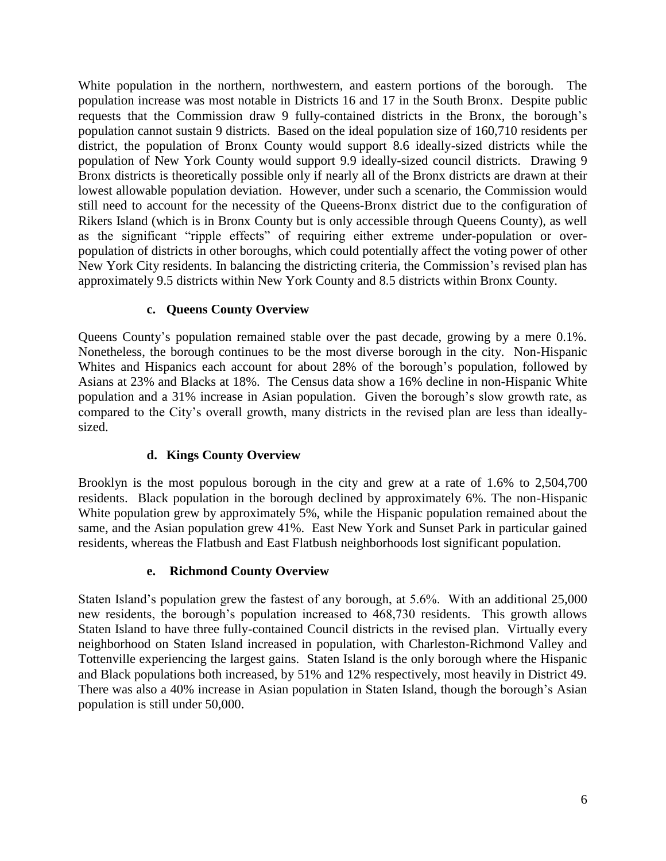White population in the northern, northwestern, and eastern portions of the borough. The population increase was most notable in Districts 16 and 17 in the South Bronx. Despite public requests that the Commission draw 9 fully-contained districts in the Bronx, the borough's population cannot sustain 9 districts. Based on the ideal population size of 160,710 residents per district, the population of Bronx County would support 8.6 ideally-sized districts while the population of New York County would support 9.9 ideally-sized council districts. Drawing 9 Bronx districts is theoretically possible only if nearly all of the Bronx districts are drawn at their lowest allowable population deviation. However, under such a scenario, the Commission would still need to account for the necessity of the Queens-Bronx district due to the configuration of Rikers Island (which is in Bronx County but is only accessible through Queens County), as well as the significant "ripple effects" of requiring either extreme under-population or overpopulation of districts in other boroughs, which could potentially affect the voting power of other New York City residents. In balancing the districting criteria, the Commission's revised plan has approximately 9.5 districts within New York County and 8.5 districts within Bronx County.

## **c. Queens County Overview**

Queens County's population remained stable over the past decade, growing by a mere 0.1%. Nonetheless, the borough continues to be the most diverse borough in the city. Non-Hispanic Whites and Hispanics each account for about 28% of the borough's population, followed by Asians at 23% and Blacks at 18%. The Census data show a 16% decline in non-Hispanic White population and a 31% increase in Asian population. Given the borough's slow growth rate, as compared to the City's overall growth, many districts in the revised plan are less than ideallysized.

# **d. Kings County Overview**

Brooklyn is the most populous borough in the city and grew at a rate of 1.6% to 2,504,700 residents. Black population in the borough declined by approximately 6%. The non-Hispanic White population grew by approximately 5%, while the Hispanic population remained about the same, and the Asian population grew 41%. East New York and Sunset Park in particular gained residents, whereas the Flatbush and East Flatbush neighborhoods lost significant population.

### **e. Richmond County Overview**

Staten Island's population grew the fastest of any borough, at 5.6%. With an additional 25,000 new residents, the borough's population increased to 468,730 residents. This growth allows Staten Island to have three fully-contained Council districts in the revised plan. Virtually every neighborhood on Staten Island increased in population, with Charleston-Richmond Valley and Tottenville experiencing the largest gains. Staten Island is the only borough where the Hispanic and Black populations both increased, by 51% and 12% respectively, most heavily in District 49. There was also a 40% increase in Asian population in Staten Island, though the borough's Asian population is still under 50,000.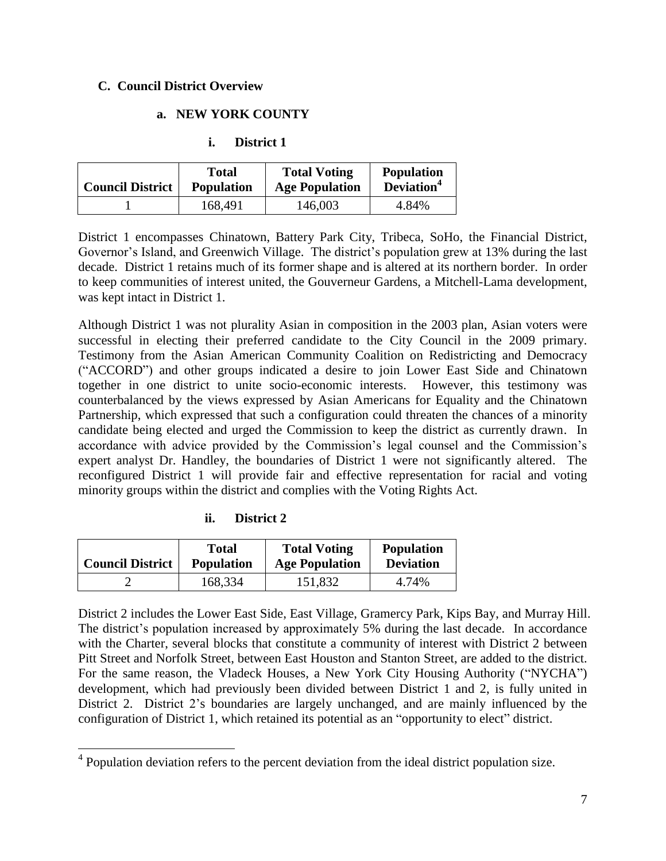### **C. Council District Overview**

### **a. NEW YORK COUNTY**

| ı. | District 1 |
|----|------------|
|----|------------|

| <b>Council District</b> | Total             | <b>Total Voting</b>   | <b>Population</b>      |
|-------------------------|-------------------|-----------------------|------------------------|
|                         | <b>Population</b> | <b>Age Population</b> | Deviation <sup>4</sup> |
|                         | 168,491           | 146,003               | 4.84%                  |

District 1 encompasses Chinatown, Battery Park City, Tribeca, SoHo, the Financial District, Governor's Island, and Greenwich Village. The district's population grew at 13% during the last decade. District 1 retains much of its former shape and is altered at its northern border. In order to keep communities of interest united, the Gouverneur Gardens, a Mitchell-Lama development, was kept intact in District 1.

Although District 1 was not plurality Asian in composition in the 2003 plan, Asian voters were successful in electing their preferred candidate to the City Council in the 2009 primary. Testimony from the Asian American Community Coalition on Redistricting and Democracy ("ACCORD") and other groups indicated a desire to join Lower East Side and Chinatown together in one district to unite socio-economic interests. However, this testimony was counterbalanced by the views expressed by Asian Americans for Equality and the Chinatown Partnership, which expressed that such a configuration could threaten the chances of a minority candidate being elected and urged the Commission to keep the district as currently drawn. In accordance with advice provided by the Commission's legal counsel and the Commission's expert analyst Dr. Handley, the boundaries of District 1 were not significantly altered. The reconfigured District 1 will provide fair and effective representation for racial and voting minority groups within the district and complies with the Voting Rights Act.

| <br>11. | District 2 |
|---------|------------|
|---------|------------|

 $\overline{\phantom{a}}$ 

| <b>Council District</b> | Total             | <b>Total Voting</b>   | <b>Population</b> |
|-------------------------|-------------------|-----------------------|-------------------|
|                         | <b>Population</b> | <b>Age Population</b> | <b>Deviation</b>  |
|                         | 168,334           | 151,832               | 4.74%             |

District 2 includes the Lower East Side, East Village, Gramercy Park, Kips Bay, and Murray Hill. The district's population increased by approximately 5% during the last decade. In accordance with the Charter, several blocks that constitute a community of interest with District 2 between Pitt Street and Norfolk Street, between East Houston and Stanton Street, are added to the district. For the same reason, the Vladeck Houses, a New York City Housing Authority ("NYCHA") development, which had previously been divided between District 1 and 2, is fully united in District 2. District 2's boundaries are largely unchanged, and are mainly influenced by the configuration of District 1, which retained its potential as an "opportunity to elect" district.

<sup>&</sup>lt;sup>4</sup> Population deviation refers to the percent deviation from the ideal district population size.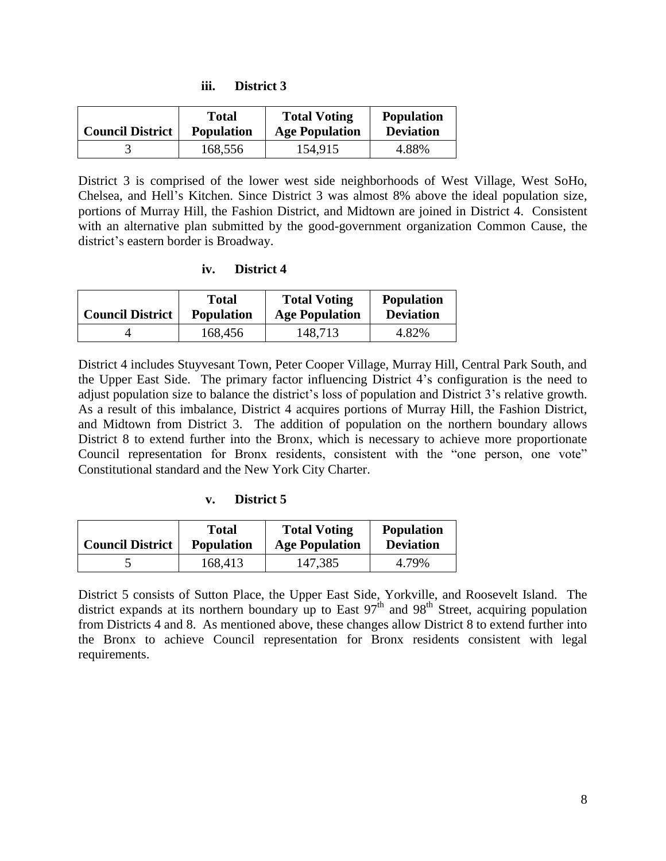| <br>ու. | District 3 |  |
|---------|------------|--|
|---------|------------|--|

| <b>Council District</b> | Total             | <b>Total Voting</b>   | <b>Population</b> |
|-------------------------|-------------------|-----------------------|-------------------|
|                         | <b>Population</b> | <b>Age Population</b> | <b>Deviation</b>  |
|                         | 168,556           | 154,915               | 4.88%             |

District 3 is comprised of the lower west side neighborhoods of West Village, West SoHo, Chelsea, and Hell's Kitchen. Since District 3 was almost 8% above the ideal population size, portions of Murray Hill, the Fashion District, and Midtown are joined in District 4. Consistent with an alternative plan submitted by the good-government organization Common Cause, the district's eastern border is Broadway.

#### **iv. District 4**

| <b>Council District</b> | Total             | <b>Total Voting</b>   | <b>Population</b> |
|-------------------------|-------------------|-----------------------|-------------------|
|                         | <b>Population</b> | <b>Age Population</b> | <b>Deviation</b>  |
|                         | 168,456           | 148,713               | 4.82%             |

District 4 includes Stuyvesant Town, Peter Cooper Village, Murray Hill, Central Park South, and the Upper East Side. The primary factor influencing District 4's configuration is the need to adjust population size to balance the district's loss of population and District 3's relative growth. As a result of this imbalance, District 4 acquires portions of Murray Hill, the Fashion District, and Midtown from District 3. The addition of population on the northern boundary allows District 8 to extend further into the Bronx, which is necessary to achieve more proportionate Council representation for Bronx residents, consistent with the "one person, one vote" Constitutional standard and the New York City Charter.

### **v. District 5**

| <b>Council District</b> | Total             | <b>Total Voting</b>   | <b>Population</b> |
|-------------------------|-------------------|-----------------------|-------------------|
|                         | <b>Population</b> | <b>Age Population</b> | <b>Deviation</b>  |
|                         | 168,413           | 147,385               | 4.79%             |

District 5 consists of Sutton Place, the Upper East Side, Yorkville, and Roosevelt Island. The district expands at its northern boundary up to East  $97<sup>th</sup>$  and  $98<sup>th</sup>$  Street, acquiring population from Districts 4 and 8. As mentioned above, these changes allow District 8 to extend further into the Bronx to achieve Council representation for Bronx residents consistent with legal requirements.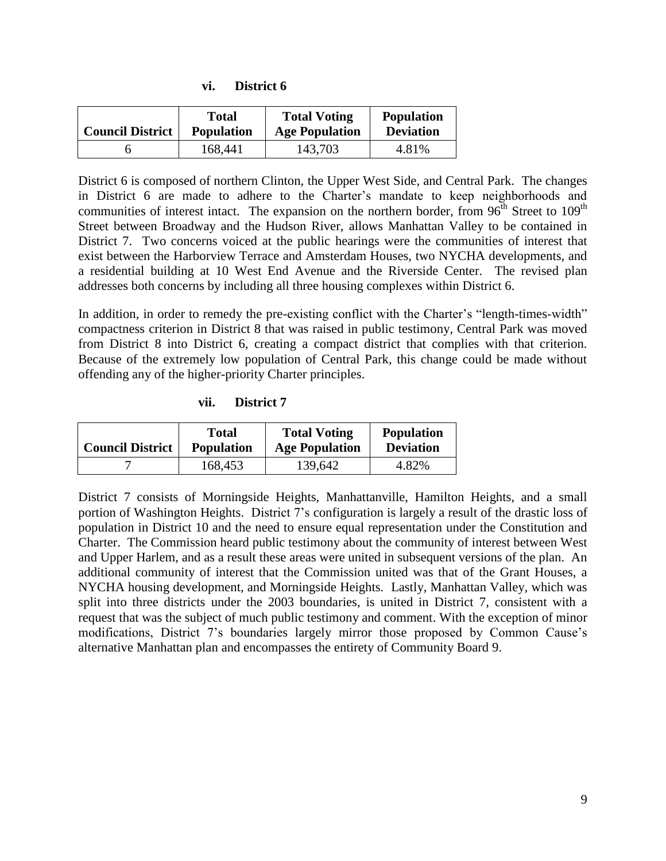| <b>Council District</b> | Total             | <b>Total Voting</b>   | <b>Population</b> |
|-------------------------|-------------------|-----------------------|-------------------|
|                         | <b>Population</b> | <b>Age Population</b> | <b>Deviation</b>  |
|                         | 168,441           | 143,703               | 4.81%             |

**vi. District 6**

District 6 is composed of northern Clinton, the Upper West Side, and Central Park. The changes in District 6 are made to adhere to the Charter's mandate to keep neighborhoods and communities of interest intact. The expansion on the northern border, from  $96<sup>th</sup>$  Street to  $109<sup>th</sup>$ Street between Broadway and the Hudson River, allows Manhattan Valley to be contained in District 7. Two concerns voiced at the public hearings were the communities of interest that exist between the Harborview Terrace and Amsterdam Houses, two NYCHA developments, and a residential building at 10 West End Avenue and the Riverside Center. The revised plan addresses both concerns by including all three housing complexes within District 6.

In addition, in order to remedy the pre-existing conflict with the Charter's "length-times-width" compactness criterion in District 8 that was raised in public testimony, Central Park was moved from District 8 into District 6, creating a compact district that complies with that criterion. Because of the extremely low population of Central Park, this change could be made without offending any of the higher-priority Charter principles.

**vii. District 7**

| <b>Council District</b> | Total             | <b>Total Voting</b>   | <b>Population</b> |
|-------------------------|-------------------|-----------------------|-------------------|
|                         | <b>Population</b> | <b>Age Population</b> | <b>Deviation</b>  |
|                         | 168,453           | 139,642               | 4.82%             |

District 7 consists of Morningside Heights, Manhattanville, Hamilton Heights, and a small portion of Washington Heights. District 7's configuration is largely a result of the drastic loss of population in District 10 and the need to ensure equal representation under the Constitution and Charter. The Commission heard public testimony about the community of interest between West and Upper Harlem, and as a result these areas were united in subsequent versions of the plan. An additional community of interest that the Commission united was that of the Grant Houses, a NYCHA housing development, and Morningside Heights. Lastly, Manhattan Valley, which was split into three districts under the 2003 boundaries, is united in District 7, consistent with a request that was the subject of much public testimony and comment. With the exception of minor modifications, District 7's boundaries largely mirror those proposed by Common Cause's alternative Manhattan plan and encompasses the entirety of Community Board 9.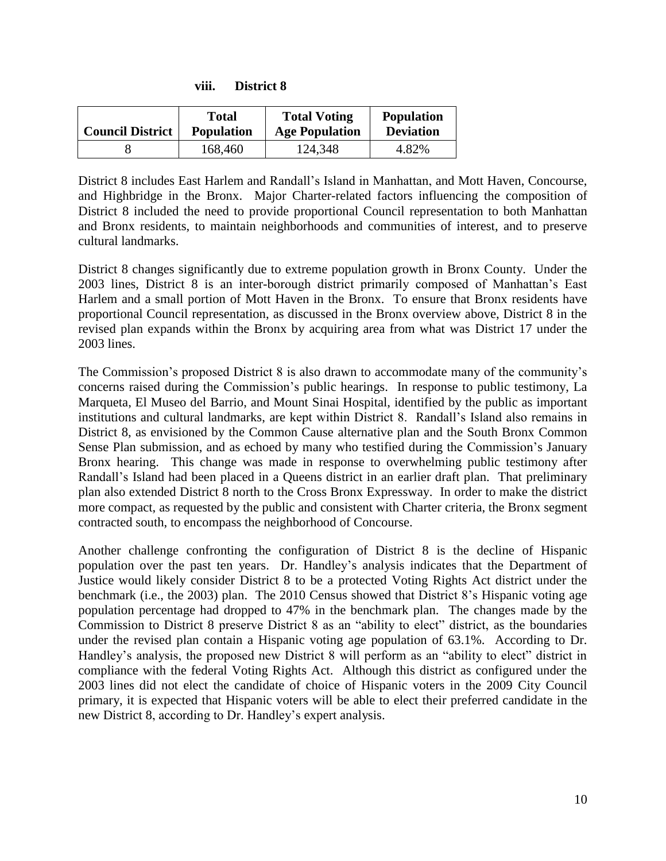| <b>Council District</b> | <b>Total</b><br><b>Population</b> | <b>Total Voting</b><br><b>Age Population</b> | <b>Population</b><br><b>Deviation</b> |
|-------------------------|-----------------------------------|----------------------------------------------|---------------------------------------|
|                         | 168,460                           | 124,348                                      | 4.82%                                 |

**viii. District 8**

District 8 includes East Harlem and Randall's Island in Manhattan, and Mott Haven, Concourse, and Highbridge in the Bronx. Major Charter-related factors influencing the composition of District 8 included the need to provide proportional Council representation to both Manhattan and Bronx residents, to maintain neighborhoods and communities of interest, and to preserve cultural landmarks.

District 8 changes significantly due to extreme population growth in Bronx County. Under the 2003 lines, District 8 is an inter-borough district primarily composed of Manhattan's East Harlem and a small portion of Mott Haven in the Bronx. To ensure that Bronx residents have proportional Council representation, as discussed in the Bronx overview above, District 8 in the revised plan expands within the Bronx by acquiring area from what was District 17 under the 2003 lines.

The Commission's proposed District 8 is also drawn to accommodate many of the community's concerns raised during the Commission's public hearings. In response to public testimony, La Marqueta, El Museo del Barrio, and Mount Sinai Hospital, identified by the public as important institutions and cultural landmarks, are kept within District 8. Randall's Island also remains in District 8, as envisioned by the Common Cause alternative plan and the South Bronx Common Sense Plan submission, and as echoed by many who testified during the Commission's January Bronx hearing. This change was made in response to overwhelming public testimony after Randall's Island had been placed in a Queens district in an earlier draft plan. That preliminary plan also extended District 8 north to the Cross Bronx Expressway. In order to make the district more compact, as requested by the public and consistent with Charter criteria, the Bronx segment contracted south, to encompass the neighborhood of Concourse.

Another challenge confronting the configuration of District 8 is the decline of Hispanic population over the past ten years. Dr. Handley's analysis indicates that the Department of Justice would likely consider District 8 to be a protected Voting Rights Act district under the benchmark (i.e., the 2003) plan. The 2010 Census showed that District 8's Hispanic voting age population percentage had dropped to 47% in the benchmark plan. The changes made by the Commission to District 8 preserve District 8 as an "ability to elect" district, as the boundaries under the revised plan contain a Hispanic voting age population of 63.1%. According to Dr. Handley's analysis, the proposed new District 8 will perform as an "ability to elect" district in compliance with the federal Voting Rights Act. Although this district as configured under the 2003 lines did not elect the candidate of choice of Hispanic voters in the 2009 City Council primary, it is expected that Hispanic voters will be able to elect their preferred candidate in the new District 8, according to Dr. Handley's expert analysis.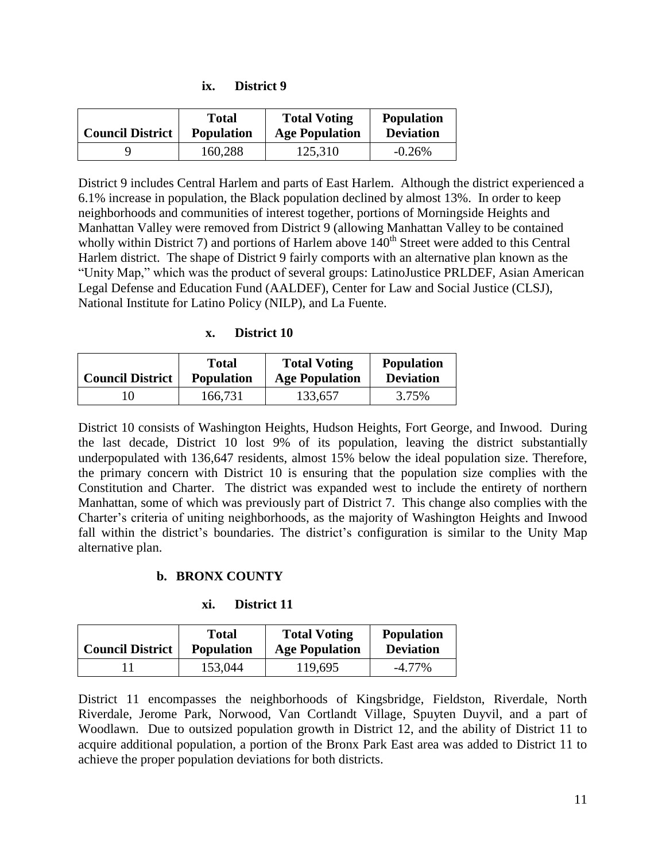| <b>Council District</b> | <b>Total</b>      | <b>Total Voting</b>   | <b>Population</b> |
|-------------------------|-------------------|-----------------------|-------------------|
|                         | <b>Population</b> | <b>Age Population</b> | <b>Deviation</b>  |
|                         | 160,288           | 125,310               | $-0.26%$          |

District 9 includes Central Harlem and parts of East Harlem. Although the district experienced a 6.1% increase in population, the Black population declined by almost 13%. In order to keep neighborhoods and communities of interest together, portions of Morningside Heights and Manhattan Valley were removed from District 9 (allowing Manhattan Valley to be contained wholly within District 7) and portions of Harlem above  $140<sup>th</sup>$  Street were added to this Central Harlem district. The shape of District 9 fairly comports with an alternative plan known as the "Unity Map," which was the product of several groups: LatinoJustice PRLDEF, Asian American Legal Defense and Education Fund (AALDEF), Center for Law and Social Justice (CLSJ), National Institute for Latino Policy (NILP), and La Fuente.

#### **x. District 10**

|                         | Total             | <b>Total Voting</b>   | <b>Population</b> |
|-------------------------|-------------------|-----------------------|-------------------|
| <b>Council District</b> | <b>Population</b> | <b>Age Population</b> | <b>Deviation</b>  |
| ' ()                    | 166,731           | 133,657               | 3.75%             |

District 10 consists of Washington Heights, Hudson Heights, Fort George, and Inwood. During the last decade, District 10 lost 9% of its population, leaving the district substantially underpopulated with 136,647 residents, almost 15% below the ideal population size. Therefore, the primary concern with District 10 is ensuring that the population size complies with the Constitution and Charter. The district was expanded west to include the entirety of northern Manhattan, some of which was previously part of District 7. This change also complies with the Charter's criteria of uniting neighborhoods, as the majority of Washington Heights and Inwood fall within the district's boundaries. The district's configuration is similar to the Unity Map alternative plan.

#### **b. BRONX COUNTY**

#### **xi. District 11**

| <b>Council District</b> | Total             | <b>Total Voting</b>   | <b>Population</b> |
|-------------------------|-------------------|-----------------------|-------------------|
|                         | <b>Population</b> | <b>Age Population</b> | <b>Deviation</b>  |
|                         | 153,044           | 119,695               | $-4.77\%$         |

District 11 encompasses the neighborhoods of Kingsbridge, Fieldston, Riverdale, North Riverdale, Jerome Park, Norwood, Van Cortlandt Village, Spuyten Duyvil, and a part of Woodlawn. Due to outsized population growth in District 12, and the ability of District 11 to acquire additional population, a portion of the Bronx Park East area was added to District 11 to achieve the proper population deviations for both districts.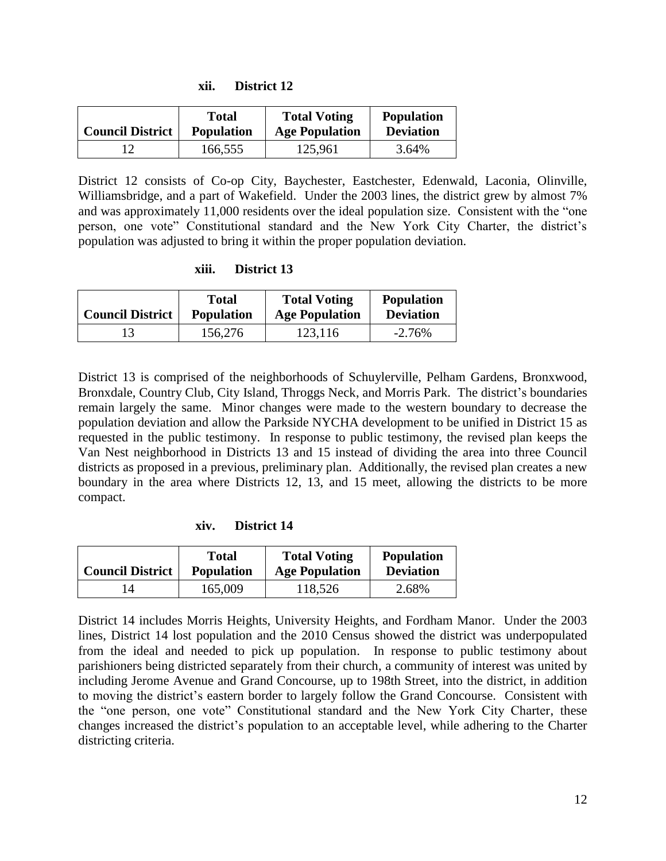| <b>Council District</b> | Total             | <b>Total Voting</b>   | <b>Population</b> |
|-------------------------|-------------------|-----------------------|-------------------|
|                         | <b>Population</b> | <b>Age Population</b> | <b>Deviation</b>  |
|                         | 166,555           | 125,961               | 3.64%             |

District 12 consists of Co-op City, Baychester, Eastchester, Edenwald, Laconia, Olinville, Williamsbridge, and a part of Wakefield. Under the 2003 lines, the district grew by almost 7% and was approximately 11,000 residents over the ideal population size. Consistent with the "one person, one vote" Constitutional standard and the New York City Charter, the district's population was adjusted to bring it within the proper population deviation.

#### **xiii. District 13**

| <b>Council District</b> | <b>Total</b>      | <b>Total Voting</b>   | <b>Population</b> |
|-------------------------|-------------------|-----------------------|-------------------|
|                         | <b>Population</b> | <b>Age Population</b> | <b>Deviation</b>  |
| 13                      | 156,276           | 123,116               | $-2.76%$          |

District 13 is comprised of the neighborhoods of Schuylerville, Pelham Gardens, Bronxwood, Bronxdale, Country Club, City Island, Throggs Neck, and Morris Park. The district's boundaries remain largely the same. Minor changes were made to the western boundary to decrease the population deviation and allow the Parkside NYCHA development to be unified in District 15 as requested in the public testimony. In response to public testimony, the revised plan keeps the Van Nest neighborhood in Districts 13 and 15 instead of dividing the area into three Council districts as proposed in a previous, preliminary plan. Additionally, the revised plan creates a new boundary in the area where Districts 12, 13, and 15 meet, allowing the districts to be more compact.

**xiv. District 14**

| <b>Council District</b> | Total             | <b>Total Voting</b>   | <b>Population</b> |
|-------------------------|-------------------|-----------------------|-------------------|
|                         | <b>Population</b> | <b>Age Population</b> | <b>Deviation</b>  |
| 4                       | 165,009           | 118,526               | 2.68%             |

District 14 includes Morris Heights, University Heights, and Fordham Manor. Under the 2003 lines, District 14 lost population and the 2010 Census showed the district was underpopulated from the ideal and needed to pick up population. In response to public testimony about parishioners being districted separately from their church, a community of interest was united by including Jerome Avenue and Grand Concourse, up to 198th Street, into the district, in addition to moving the district's eastern border to largely follow the Grand Concourse. Consistent with the "one person, one vote" Constitutional standard and the New York City Charter, these changes increased the district's population to an acceptable level, while adhering to the Charter districting criteria.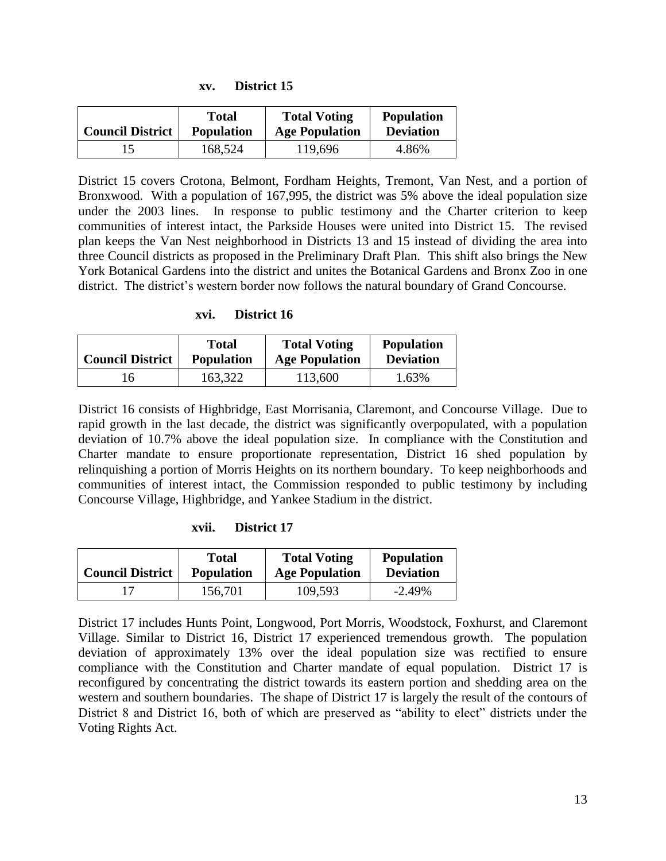| <b>Council District</b> | Total             | <b>Total Voting</b>   | <b>Population</b> |
|-------------------------|-------------------|-----------------------|-------------------|
|                         | <b>Population</b> | <b>Age Population</b> | <b>Deviation</b>  |
|                         | 168,524           | 119,696               | 4.86%             |

**xv. District 15**

District 15 covers Crotona, Belmont, Fordham Heights, Tremont, Van Nest, and a portion of Bronxwood. With a population of 167,995, the district was 5% above the ideal population size under the 2003 lines. In response to public testimony and the Charter criterion to keep communities of interest intact, the Parkside Houses were united into District 15. The revised plan keeps the Van Nest neighborhood in Districts 13 and 15 instead of dividing the area into three Council districts as proposed in the Preliminary Draft Plan. This shift also brings the New York Botanical Gardens into the district and unites the Botanical Gardens and Bronx Zoo in one district. The district's western border now follows the natural boundary of Grand Concourse.

#### **xvi. District 16**

| <b>Council District</b> | Total             | <b>Total Voting</b>   | <b>Population</b> |
|-------------------------|-------------------|-----------------------|-------------------|
|                         | <b>Population</b> | <b>Age Population</b> | <b>Deviation</b>  |
| 16                      | 163,322           | 113,600               | 1.63%             |

District 16 consists of Highbridge, East Morrisania, Claremont, and Concourse Village. Due to rapid growth in the last decade, the district was significantly overpopulated, with a population deviation of 10.7% above the ideal population size. In compliance with the Constitution and Charter mandate to ensure proportionate representation, District 16 shed population by relinquishing a portion of Morris Heights on its northern boundary. To keep neighborhoods and communities of interest intact, the Commission responded to public testimony by including Concourse Village, Highbridge, and Yankee Stadium in the district.

#### **xvii. District 17**

| <b>Council District</b> | Total             | <b>Total Voting</b>   | <b>Population</b> |
|-------------------------|-------------------|-----------------------|-------------------|
|                         | <b>Population</b> | <b>Age Population</b> | <b>Deviation</b>  |
|                         | 156,701           | 109,593               | $-2.49\%$         |

District 17 includes Hunts Point, Longwood, Port Morris, Woodstock, Foxhurst, and Claremont Village. Similar to District 16, District 17 experienced tremendous growth. The population deviation of approximately 13% over the ideal population size was rectified to ensure compliance with the Constitution and Charter mandate of equal population. District 17 is reconfigured by concentrating the district towards its eastern portion and shedding area on the western and southern boundaries. The shape of District 17 is largely the result of the contours of District 8 and District 16, both of which are preserved as "ability to elect" districts under the Voting Rights Act.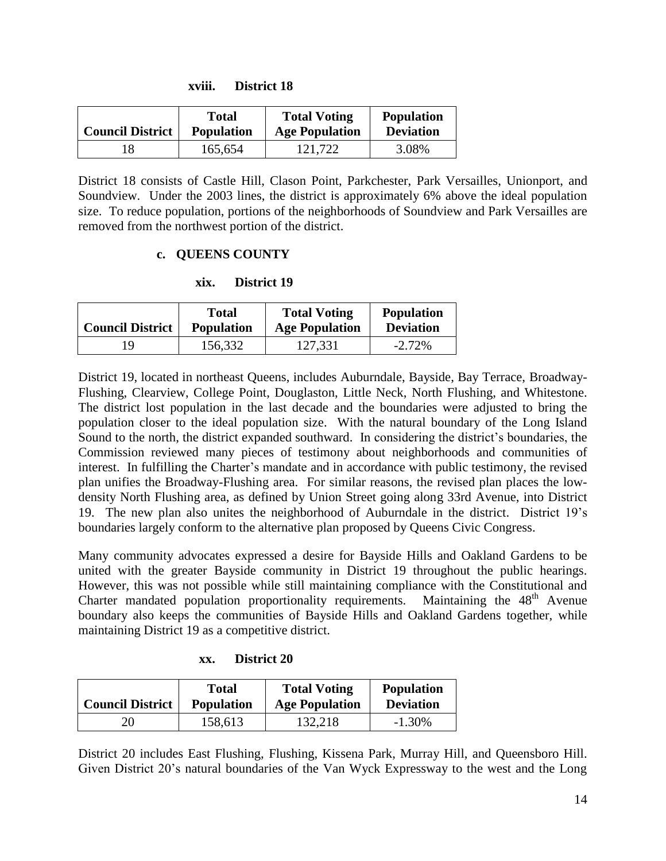| <b>Council District</b> | <b>Total</b>      | <b>Total Voting</b>   | <b>Population</b> |
|-------------------------|-------------------|-----------------------|-------------------|
|                         | <b>Population</b> | <b>Age Population</b> | <b>Deviation</b>  |
| 18                      | 165,654           | 121,722               | 3.08%             |

District 18 consists of Castle Hill, Clason Point, Parkchester, Park Versailles, Unionport, and Soundview. Under the 2003 lines, the district is approximately 6% above the ideal population size. To reduce population, portions of the neighborhoods of Soundview and Park Versailles are removed from the northwest portion of the district.

### **c. QUEENS COUNTY**

**xix. District 19**

| <b>Council District</b> | <b>Total</b>      | <b>Total Voting</b>   | <b>Population</b> |
|-------------------------|-------------------|-----------------------|-------------------|
|                         | <b>Population</b> | <b>Age Population</b> | <b>Deviation</b>  |
| ۱9                      | 156,332           | 127,331               | $-2.72\%$         |

District 19, located in northeast Queens, includes Auburndale, Bayside, Bay Terrace, Broadway-Flushing, Clearview, College Point, Douglaston, Little Neck, North Flushing, and Whitestone. The district lost population in the last decade and the boundaries were adjusted to bring the population closer to the ideal population size. With the natural boundary of the Long Island Sound to the north, the district expanded southward. In considering the district's boundaries, the Commission reviewed many pieces of testimony about neighborhoods and communities of interest. In fulfilling the Charter's mandate and in accordance with public testimony, the revised plan unifies the Broadway-Flushing area. For similar reasons, the revised plan places the lowdensity North Flushing area, as defined by Union Street going along 33rd Avenue, into District 19. The new plan also unites the neighborhood of Auburndale in the district. District 19's boundaries largely conform to the alternative plan proposed by Queens Civic Congress.

Many community advocates expressed a desire for Bayside Hills and Oakland Gardens to be united with the greater Bayside community in District 19 throughout the public hearings. However, this was not possible while still maintaining compliance with the Constitutional and Charter mandated population proportionality requirements. Maintaining the 48<sup>th</sup> Avenue Charter mandated population proportionality requirements. boundary also keeps the communities of Bayside Hills and Oakland Gardens together, while maintaining District 19 as a competitive district.

| XX. | District 20 |  |
|-----|-------------|--|
|     |             |  |

| <b>Council District</b> | <b>Total</b>      | <b>Total Voting</b>   | <b>Population</b> |
|-------------------------|-------------------|-----------------------|-------------------|
|                         | <b>Population</b> | <b>Age Population</b> | <b>Deviation</b>  |
| 20                      | 158,613           | 132,218               | $-1.30\%$         |

District 20 includes East Flushing, Flushing, Kissena Park, Murray Hill, and Queensboro Hill. Given District 20's natural boundaries of the Van Wyck Expressway to the west and the Long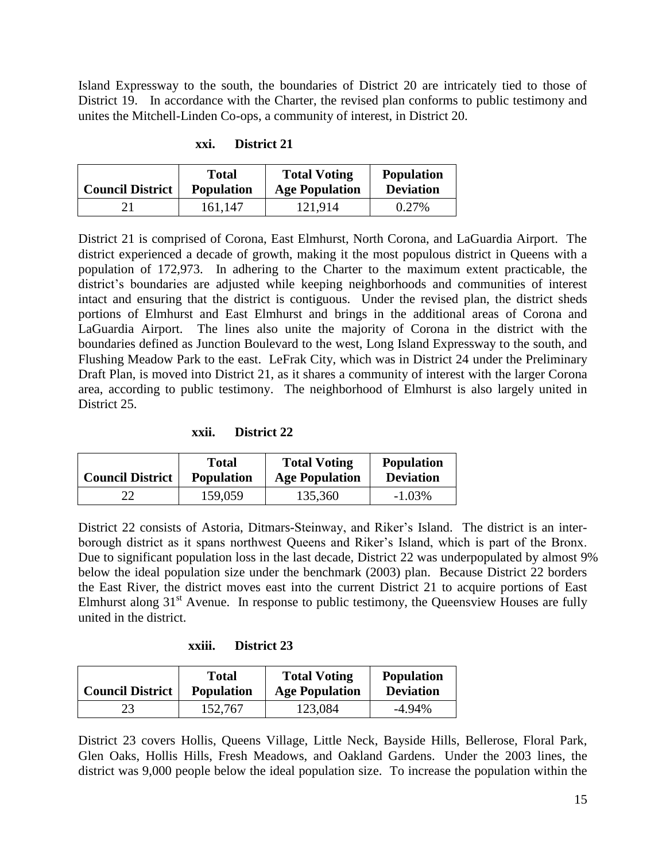Island Expressway to the south, the boundaries of District 20 are intricately tied to those of District 19. In accordance with the Charter, the revised plan conforms to public testimony and unites the Mitchell-Linden Co-ops, a community of interest, in District 20.

| <b>Council District</b> | Total             | <b>Total Voting</b>   | <b>Population</b> |
|-------------------------|-------------------|-----------------------|-------------------|
|                         | <b>Population</b> | <b>Age Population</b> | <b>Deviation</b>  |
|                         | 161.147           | 121,914               | 0.27%             |

District 21 is comprised of Corona, East Elmhurst, North Corona, and LaGuardia Airport. The district experienced a decade of growth, making it the most populous district in Queens with a population of 172,973. In adhering to the Charter to the maximum extent practicable, the district's boundaries are adjusted while keeping neighborhoods and communities of interest intact and ensuring that the district is contiguous. Under the revised plan, the district sheds portions of Elmhurst and East Elmhurst and brings in the additional areas of Corona and LaGuardia Airport. The lines also unite the majority of Corona in the district with the boundaries defined as Junction Boulevard to the west, Long Island Expressway to the south, and Flushing Meadow Park to the east. LeFrak City, which was in District 24 under the Preliminary Draft Plan, is moved into District 21, as it shares a community of interest with the larger Corona area, according to public testimony. The neighborhood of Elmhurst is also largely united in District 25.

**xxii. District 22**

| <b>Council District</b> | Total             | <b>Total Voting</b>   | <b>Population</b> |
|-------------------------|-------------------|-----------------------|-------------------|
|                         | <b>Population</b> | <b>Age Population</b> | <b>Deviation</b>  |
| 22                      | 159,059           | 135,360               | $-1.03\%$         |

District 22 consists of Astoria, Ditmars-Steinway, and Riker's Island. The district is an interborough district as it spans northwest Queens and Riker's Island, which is part of the Bronx. Due to significant population loss in the last decade, District 22 was underpopulated by almost 9% below the ideal population size under the benchmark (2003) plan. Because District 22 borders the East River, the district moves east into the current District 21 to acquire portions of East Elmhurst along  $31<sup>st</sup>$  Avenue. In response to public testimony, the Queensview Houses are fully united in the district.

| <b>Council District</b> | Total             | <b>Total Voting</b>   | <b>Population</b> |
|-------------------------|-------------------|-----------------------|-------------------|
|                         | <b>Population</b> | <b>Age Population</b> | <b>Deviation</b>  |
| 23                      | 152,767           | 123,084               | $-4.94\%$         |

District 23 covers Hollis, Queens Village, Little Neck, Bayside Hills, Bellerose, Floral Park, Glen Oaks, Hollis Hills, Fresh Meadows, and Oakland Gardens. Under the 2003 lines, the district was 9,000 people below the ideal population size. To increase the population within the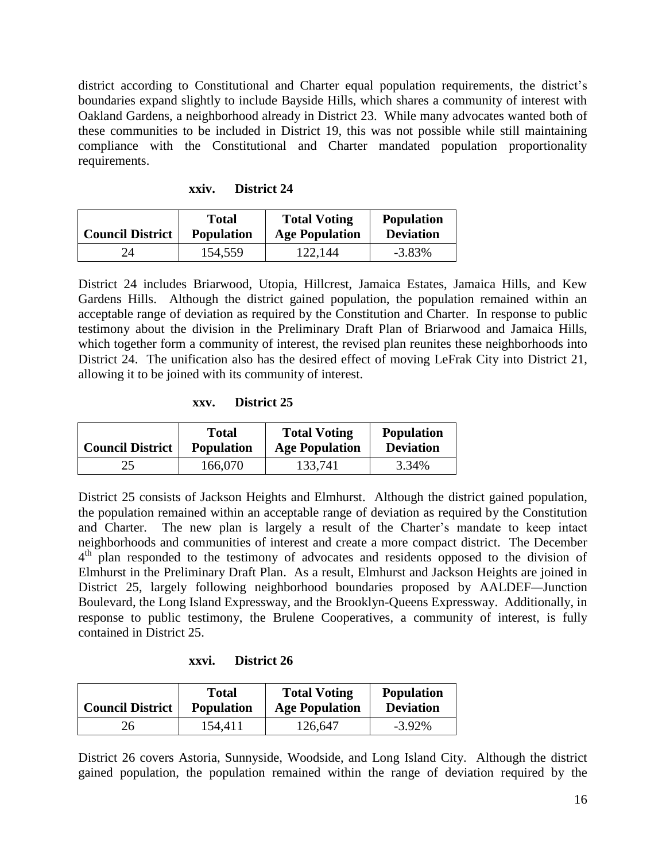district according to Constitutional and Charter equal population requirements, the district's boundaries expand slightly to include Bayside Hills, which shares a community of interest with Oakland Gardens, a neighborhood already in District 23. While many advocates wanted both of these communities to be included in District 19, this was not possible while still maintaining compliance with the Constitutional and Charter mandated population proportionality requirements.

| <b>Council District</b> | Total             | <b>Total Voting</b>   | <b>Population</b> |
|-------------------------|-------------------|-----------------------|-------------------|
|                         | <b>Population</b> | <b>Age Population</b> | <b>Deviation</b>  |
| 24                      | 154,559           | 122.144               | $-3.83\%$         |

District 24 includes Briarwood, Utopia, Hillcrest, Jamaica Estates, Jamaica Hills, and Kew Gardens Hills. Although the district gained population, the population remained within an acceptable range of deviation as required by the Constitution and Charter. In response to public testimony about the division in the Preliminary Draft Plan of Briarwood and Jamaica Hills, which together form a community of interest, the revised plan reunites these neighborhoods into District 24. The unification also has the desired effect of moving LeFrak City into District 21, allowing it to be joined with its community of interest.

**xxv. District 25**

| <b>Council District</b> | <b>Total</b>      | <b>Total Voting</b>   | <b>Population</b> |
|-------------------------|-------------------|-----------------------|-------------------|
|                         | <b>Population</b> | <b>Age Population</b> | <b>Deviation</b>  |
| 25                      | 166,070           | 133,741               | 3.34%             |

District 25 consists of Jackson Heights and Elmhurst. Although the district gained population, the population remained within an acceptable range of deviation as required by the Constitution and Charter. The new plan is largely a result of the Charter's mandate to keep intact neighborhoods and communities of interest and create a more compact district. The December 4<sup>th</sup> plan responded to the testimony of advocates and residents opposed to the division of Elmhurst in the Preliminary Draft Plan. As a result, Elmhurst and Jackson Heights are joined in District 25, largely following neighborhood boundaries proposed by AALDEF—Junction Boulevard, the Long Island Expressway, and the Brooklyn-Queens Expressway. Additionally, in response to public testimony, the Brulene Cooperatives, a community of interest, is fully contained in District 25.

**xxvi. District 26**

| <b>Council District</b> | <b>Total</b>      | <b>Total Voting</b>   | <b>Population</b> |
|-------------------------|-------------------|-----------------------|-------------------|
|                         | <b>Population</b> | <b>Age Population</b> | <b>Deviation</b>  |
| 26                      | 154,411           | 126,647               | $-3.92\%$         |

District 26 covers Astoria, Sunnyside, Woodside, and Long Island City. Although the district gained population, the population remained within the range of deviation required by the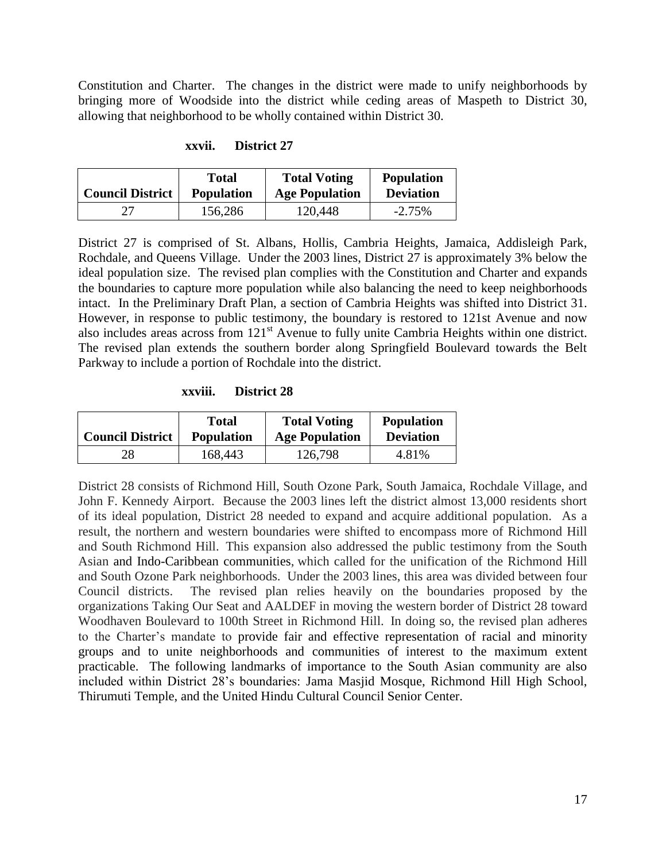Constitution and Charter. The changes in the district were made to unify neighborhoods by bringing more of Woodside into the district while ceding areas of Maspeth to District 30, allowing that neighborhood to be wholly contained within District 30.

#### **xxvii. District 27**

| <b>Council District</b> | Total             | <b>Total Voting</b>   | <b>Population</b> |
|-------------------------|-------------------|-----------------------|-------------------|
|                         | <b>Population</b> | <b>Age Population</b> | <b>Deviation</b>  |
|                         | 156,286           | 120,448               | $-2.75%$          |

District 27 is comprised of St. Albans, Hollis, Cambria Heights, Jamaica, Addisleigh Park, Rochdale, and Queens Village. Under the 2003 lines, District 27 is approximately 3% below the ideal population size. The revised plan complies with the Constitution and Charter and expands the boundaries to capture more population while also balancing the need to keep neighborhoods intact. In the Preliminary Draft Plan, a section of Cambria Heights was shifted into District 31. However, in response to public testimony, the boundary is restored to 121st Avenue and now also includes areas across from 121<sup>st</sup> Avenue to fully unite Cambria Heights within one district. The revised plan extends the southern border along Springfield Boulevard towards the Belt Parkway to include a portion of Rochdale into the district.

**xxviii. District 28**

| <b>Council District</b> | Total             | <b>Total Voting</b>   | <b>Population</b> |
|-------------------------|-------------------|-----------------------|-------------------|
|                         | <b>Population</b> | <b>Age Population</b> | <b>Deviation</b>  |
| 28                      | 168,443           | 126,798               | 4.81%             |

District 28 consists of Richmond Hill, South Ozone Park, South Jamaica, Rochdale Village, and John F. Kennedy Airport. Because the 2003 lines left the district almost 13,000 residents short of its ideal population, District 28 needed to expand and acquire additional population. As a result, the northern and western boundaries were shifted to encompass more of Richmond Hill and South Richmond Hill. This expansion also addressed the public testimony from the South Asian and Indo-Caribbean communities, which called for the unification of the Richmond Hill and South Ozone Park neighborhoods. Under the 2003 lines, this area was divided between four Council districts. The revised plan relies heavily on the boundaries proposed by the organizations Taking Our Seat and AALDEF in moving the western border of District 28 toward Woodhaven Boulevard to 100th Street in Richmond Hill. In doing so, the revised plan adheres to the Charter's mandate to provide fair and effective representation of racial and minority groups and to unite neighborhoods and communities of interest to the maximum extent practicable. The following landmarks of importance to the South Asian community are also included within District 28's boundaries: Jama Masjid Mosque, Richmond Hill High School, Thirumuti Temple, and the United Hindu Cultural Council Senior Center.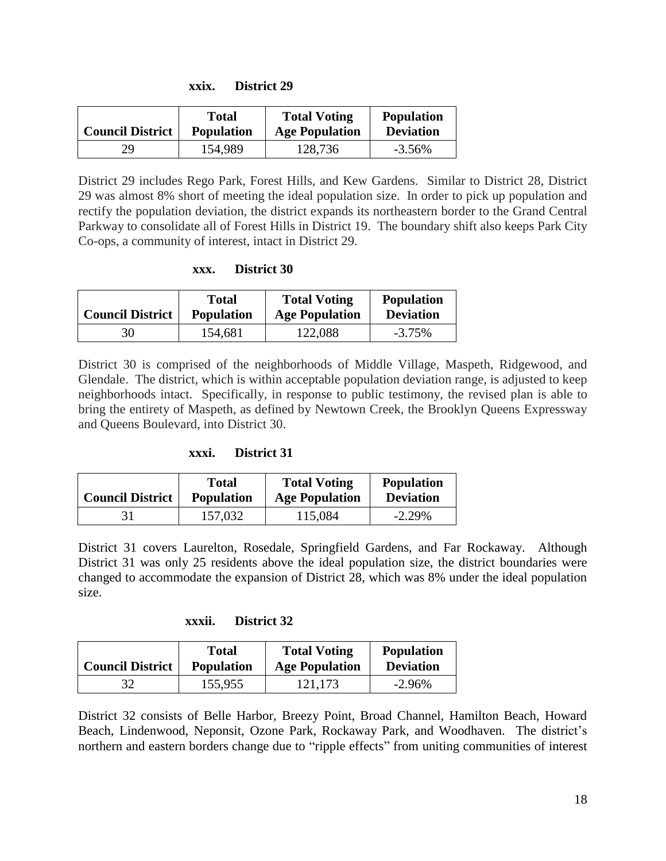| XXIX. | District 29 |
|-------|-------------|
|       |             |

| <b>Council District</b> | Total             | <b>Total Voting</b>   | <b>Population</b> |
|-------------------------|-------------------|-----------------------|-------------------|
|                         | <b>Population</b> | <b>Age Population</b> | <b>Deviation</b>  |
| 29                      | 154,989           | 128,736               | $-3.56\%$         |

District 29 includes Rego Park, Forest Hills, and Kew Gardens. Similar to District 28, District 29 was almost 8% short of meeting the ideal population size. In order to pick up population and rectify the population deviation, the district expands its northeastern border to the Grand Central Parkway to consolidate all of Forest Hills in District 19. The boundary shift also keeps Park City Co-ops, a community of interest, intact in District 29.

#### **xxx. District 30**

| <b>Council District</b> | <b>Total</b>      | <b>Total Voting</b>   | <b>Population</b> |
|-------------------------|-------------------|-----------------------|-------------------|
|                         | <b>Population</b> | <b>Age Population</b> | <b>Deviation</b>  |
| 30                      | 154,681           | 122,088               | $-3.75\%$         |

District 30 is comprised of the neighborhoods of Middle Village, Maspeth, Ridgewood, and Glendale. The district, which is within acceptable population deviation range, is adjusted to keep neighborhoods intact. Specifically, in response to public testimony, the revised plan is able to bring the entirety of Maspeth, as defined by Newtown Creek, the Brooklyn Queens Expressway and Queens Boulevard, into District 30.

#### **xxxi. District 31**

| <b>Council District</b> | <b>Total</b>      | <b>Total Voting</b>   | <b>Population</b> |
|-------------------------|-------------------|-----------------------|-------------------|
|                         | <b>Population</b> | <b>Age Population</b> | <b>Deviation</b>  |
| 31                      | 157,032           | 115,084               | $-2.29\%$         |

District 31 covers Laurelton, Rosedale, Springfield Gardens, and Far Rockaway. Although District 31 was only 25 residents above the ideal population size, the district boundaries were changed to accommodate the expansion of District 28, which was 8% under the ideal population size.

#### **xxxii. District 32**

| <b>Council District</b> | Total             | <b>Total Voting</b>   | <b>Population</b> |
|-------------------------|-------------------|-----------------------|-------------------|
|                         | <b>Population</b> | <b>Age Population</b> | <b>Deviation</b>  |
| 32                      | 155,955           | 121,173               | $-2.96\%$         |

District 32 consists of Belle Harbor, Breezy Point, Broad Channel, Hamilton Beach, Howard Beach, Lindenwood, Neponsit, Ozone Park, Rockaway Park, and Woodhaven. The district's northern and eastern borders change due to "ripple effects" from uniting communities of interest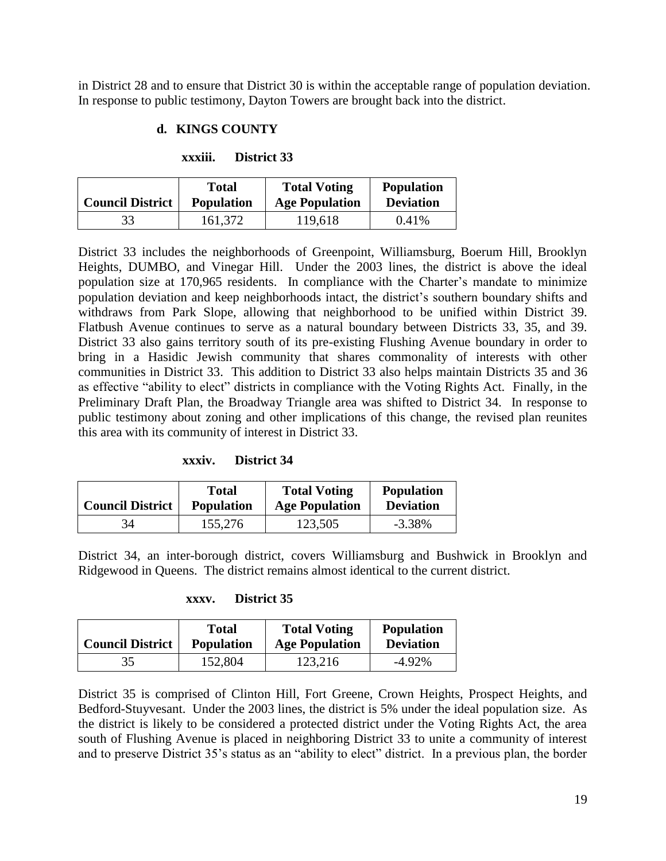in District 28 and to ensure that District 30 is within the acceptable range of population deviation. In response to public testimony, Dayton Towers are brought back into the district.

### **d. KINGS COUNTY**

#### **xxxiii. District 33**

| <b>Council District</b> | Total             | <b>Total Voting</b>   | <b>Population</b> |
|-------------------------|-------------------|-----------------------|-------------------|
|                         | <b>Population</b> | <b>Age Population</b> | <b>Deviation</b>  |
| 33                      | 161,372           | 119,618               | 0.41%             |

District 33 includes the neighborhoods of Greenpoint, Williamsburg, Boerum Hill, Brooklyn Heights, DUMBO, and Vinegar Hill. Under the 2003 lines, the district is above the ideal population size at 170,965 residents. In compliance with the Charter's mandate to minimize population deviation and keep neighborhoods intact, the district's southern boundary shifts and withdraws from Park Slope, allowing that neighborhood to be unified within District 39. Flatbush Avenue continues to serve as a natural boundary between Districts 33, 35, and 39. District 33 also gains territory south of its pre-existing Flushing Avenue boundary in order to bring in a Hasidic Jewish community that shares commonality of interests with other communities in District 33. This addition to District 33 also helps maintain Districts 35 and 36 as effective "ability to elect" districts in compliance with the Voting Rights Act. Finally, in the Preliminary Draft Plan, the Broadway Triangle area was shifted to District 34. In response to public testimony about zoning and other implications of this change, the revised plan reunites this area with its community of interest in District 33.

**xxxiv. District 34**

|                         | <b>Total</b>      | <b>Total Voting</b>   | <b>Population</b> |
|-------------------------|-------------------|-----------------------|-------------------|
| <b>Council District</b> | <b>Population</b> | <b>Age Population</b> | <b>Deviation</b>  |
| 34                      | 155,276           | 123,505               | $-3.38\%$         |

District 34, an inter-borough district, covers Williamsburg and Bushwick in Brooklyn and Ridgewood in Queens. The district remains almost identical to the current district.

#### **xxxv. District 35**

| <b>Council District</b> | Total             | <b>Total Voting</b>   | <b>Population</b> |
|-------------------------|-------------------|-----------------------|-------------------|
|                         | <b>Population</b> | <b>Age Population</b> | <b>Deviation</b>  |
| 35                      | 152,804           | 123,216               | $-4.92\%$         |

District 35 is comprised of Clinton Hill, Fort Greene, Crown Heights, Prospect Heights, and Bedford-Stuyvesant. Under the 2003 lines, the district is 5% under the ideal population size. As the district is likely to be considered a protected district under the Voting Rights Act, the area south of Flushing Avenue is placed in neighboring District 33 to unite a community of interest and to preserve District 35's status as an "ability to elect" district. In a previous plan, the border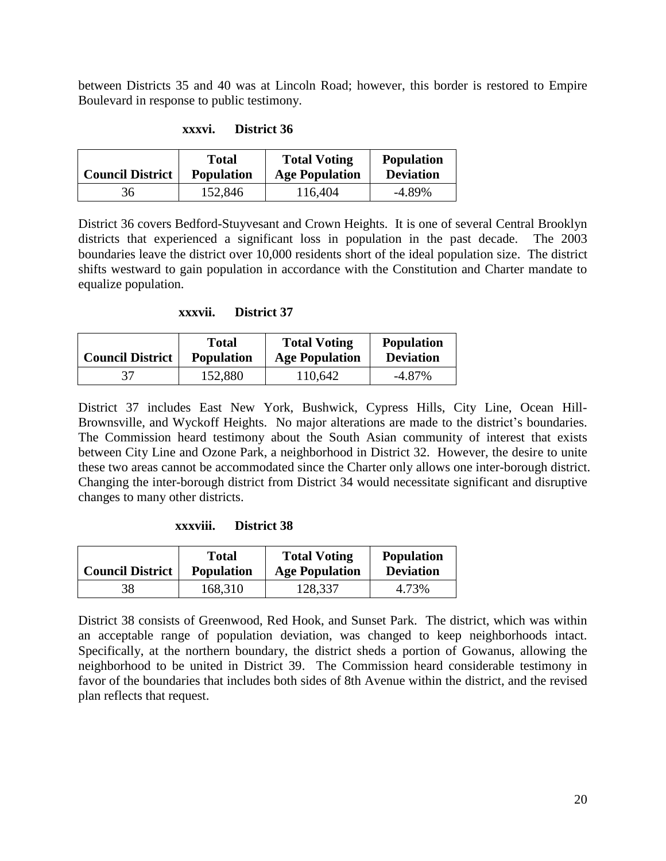between Districts 35 and 40 was at Lincoln Road; however, this border is restored to Empire Boulevard in response to public testimony.

| <b>Council District</b> | <b>Total</b>      | <b>Total Voting</b>   | <b>Population</b> |
|-------------------------|-------------------|-----------------------|-------------------|
|                         | <b>Population</b> | <b>Age Population</b> | <b>Deviation</b>  |
| 36                      | 152,846           | 116,404               | $-4.89\%$         |

**xxxvi. District 36**

District 36 covers Bedford-Stuyvesant and Crown Heights. It is one of several Central Brooklyn districts that experienced a significant loss in population in the past decade. The 2003 boundaries leave the district over 10,000 residents short of the ideal population size. The district shifts westward to gain population in accordance with the Constitution and Charter mandate to equalize population.

#### **xxxvii. District 37**

|                         | Total             | <b>Total Voting</b>   | <b>Population</b> |
|-------------------------|-------------------|-----------------------|-------------------|
| <b>Council District</b> | <b>Population</b> | <b>Age Population</b> | <b>Deviation</b>  |
|                         | 152,880           | 110,642               | $-4.87\%$         |

District 37 includes East New York, Bushwick, Cypress Hills, City Line, Ocean Hill-Brownsville, and Wyckoff Heights. No major alterations are made to the district's boundaries. The Commission heard testimony about the South Asian community of interest that exists between City Line and Ozone Park, a neighborhood in District 32. However, the desire to unite these two areas cannot be accommodated since the Charter only allows one inter-borough district. Changing the inter-borough district from District 34 would necessitate significant and disruptive changes to many other districts.

#### **xxxviii. District 38**

| <b>Council District</b> | <b>Total</b>      | <b>Total Voting</b>   | <b>Population</b> |
|-------------------------|-------------------|-----------------------|-------------------|
|                         | <b>Population</b> | <b>Age Population</b> | <b>Deviation</b>  |
| 38                      | 168,310           | 128,337               | 4.73%             |

District 38 consists of Greenwood, Red Hook, and Sunset Park. The district, which was within an acceptable range of population deviation, was changed to keep neighborhoods intact. Specifically, at the northern boundary, the district sheds a portion of Gowanus, allowing the neighborhood to be united in District 39. The Commission heard considerable testimony in favor of the boundaries that includes both sides of 8th Avenue within the district, and the revised plan reflects that request.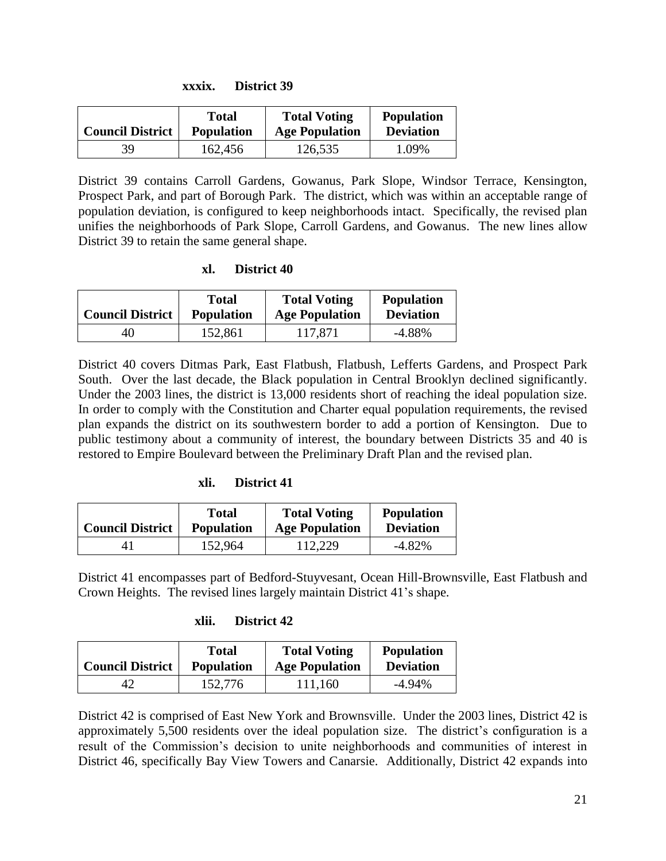| XXXIX. | <b>District 39</b> |  |
|--------|--------------------|--|
|--------|--------------------|--|

| <b>Council District</b> | Total             | <b>Total Voting</b>   | <b>Population</b> |
|-------------------------|-------------------|-----------------------|-------------------|
|                         | <b>Population</b> | <b>Age Population</b> | <b>Deviation</b>  |
| 39                      | 162,456           | 126,535               | 1.09%             |

District 39 contains Carroll Gardens, Gowanus, Park Slope, Windsor Terrace, Kensington, Prospect Park, and part of Borough Park. The district, which was within an acceptable range of population deviation, is configured to keep neighborhoods intact. Specifically, the revised plan unifies the neighborhoods of Park Slope, Carroll Gardens, and Gowanus. The new lines allow District 39 to retain the same general shape.

#### **xl. District 40**

| <b>Council District</b> | <b>Total</b>      | <b>Total Voting</b>   | <b>Population</b> |
|-------------------------|-------------------|-----------------------|-------------------|
|                         | <b>Population</b> | <b>Age Population</b> | <b>Deviation</b>  |
| 40                      | 152,861           | 117,871               | $-4.88\%$         |

District 40 covers Ditmas Park, East Flatbush, Flatbush, Lefferts Gardens, and Prospect Park South. Over the last decade, the Black population in Central Brooklyn declined significantly. Under the 2003 lines, the district is 13,000 residents short of reaching the ideal population size. In order to comply with the Constitution and Charter equal population requirements, the revised plan expands the district on its southwestern border to add a portion of Kensington. Due to public testimony about a community of interest, the boundary between Districts 35 and 40 is restored to Empire Boulevard between the Preliminary Draft Plan and the revised plan.

#### **xli. District 41**

| <b>Council District</b> | Total             | <b>Total Voting</b>   | <b>Population</b> |
|-------------------------|-------------------|-----------------------|-------------------|
|                         | <b>Population</b> | <b>Age Population</b> | <b>Deviation</b>  |
|                         | 152,964           | 112,229               | -4.82%            |

District 41 encompasses part of Bedford-Stuyvesant, Ocean Hill-Brownsville, East Flatbush and Crown Heights. The revised lines largely maintain District 41's shape.

#### **xlii. District 42**

| <b>Council District</b> | Total             | <b>Total Voting</b>   | <b>Population</b> |
|-------------------------|-------------------|-----------------------|-------------------|
|                         | <b>Population</b> | <b>Age Population</b> | <b>Deviation</b>  |
|                         | 152,776           | 111,160               | -4.94%            |

District 42 is comprised of East New York and Brownsville. Under the 2003 lines, District 42 is approximately 5,500 residents over the ideal population size. The district's configuration is a result of the Commission's decision to unite neighborhoods and communities of interest in District 46, specifically Bay View Towers and Canarsie. Additionally, District 42 expands into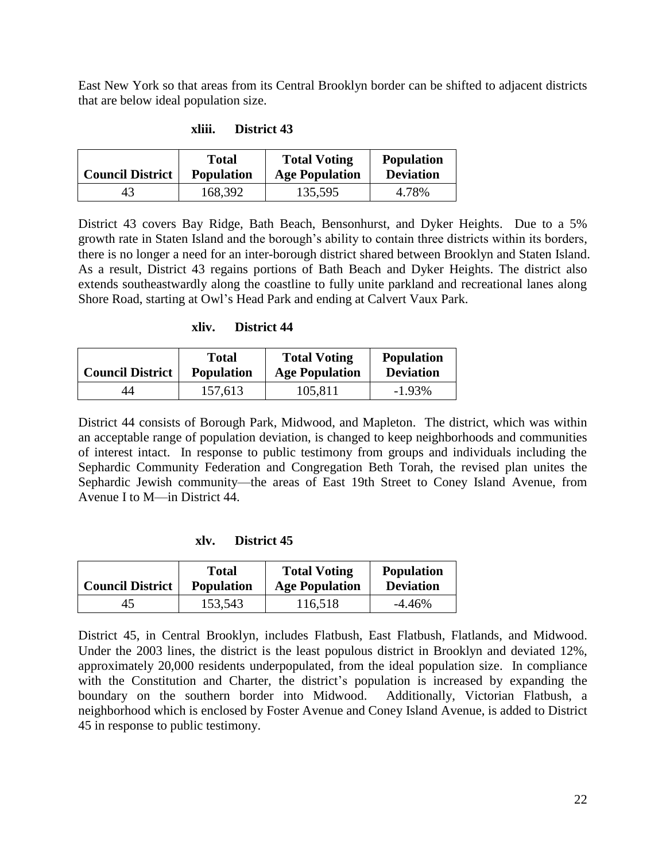East New York so that areas from its Central Brooklyn border can be shifted to adjacent districts that are below ideal population size.

| <b>Council District</b> | Total             | <b>Total Voting</b>   | <b>Population</b> |
|-------------------------|-------------------|-----------------------|-------------------|
|                         | <b>Population</b> | <b>Age Population</b> | <b>Deviation</b>  |
| 43                      | 168,392           | 135,595               | 4.78%             |

### **xliii. District 43**

District 43 covers Bay Ridge, Bath Beach, Bensonhurst, and Dyker Heights. Due to a 5% growth rate in Staten Island and the borough's ability to contain three districts within its borders, there is no longer a need for an inter-borough district shared between Brooklyn and Staten Island. As a result, District 43 regains portions of Bath Beach and Dyker Heights. The district also extends southeastwardly along the coastline to fully unite parkland and recreational lanes along Shore Road, starting at Owl's Head Park and ending at Calvert Vaux Park.

#### **xliv. District 44**

| <b>Council District</b> | Total             | <b>Total Voting</b>   | <b>Population</b> |
|-------------------------|-------------------|-----------------------|-------------------|
|                         | <b>Population</b> | <b>Age Population</b> | <b>Deviation</b>  |
| 44                      | 157,613           | 105,811               | $-1.93\%$         |

District 44 consists of Borough Park, Midwood, and Mapleton. The district, which was within an acceptable range of population deviation, is changed to keep neighborhoods and communities of interest intact. In response to public testimony from groups and individuals including the Sephardic Community Federation and Congregation Beth Torah, the revised plan unites the Sephardic Jewish community—the areas of East 19th Street to Coney Island Avenue, from Avenue I to M—in District 44.

#### **xlv. District 45**

| <b>Council District</b> | Total             | <b>Total Voting</b>   | <b>Population</b> |
|-------------------------|-------------------|-----------------------|-------------------|
|                         | <b>Population</b> | <b>Age Population</b> | <b>Deviation</b>  |
| 45                      | 153,543           | 116,518               | $-4.46\%$         |

District 45, in Central Brooklyn, includes Flatbush, East Flatbush, Flatlands, and Midwood. Under the 2003 lines, the district is the least populous district in Brooklyn and deviated 12%, approximately 20,000 residents underpopulated, from the ideal population size. In compliance with the Constitution and Charter, the district's population is increased by expanding the boundary on the southern border into Midwood. Additionally, Victorian Flatbush, a neighborhood which is enclosed by Foster Avenue and Coney Island Avenue, is added to District 45 in response to public testimony.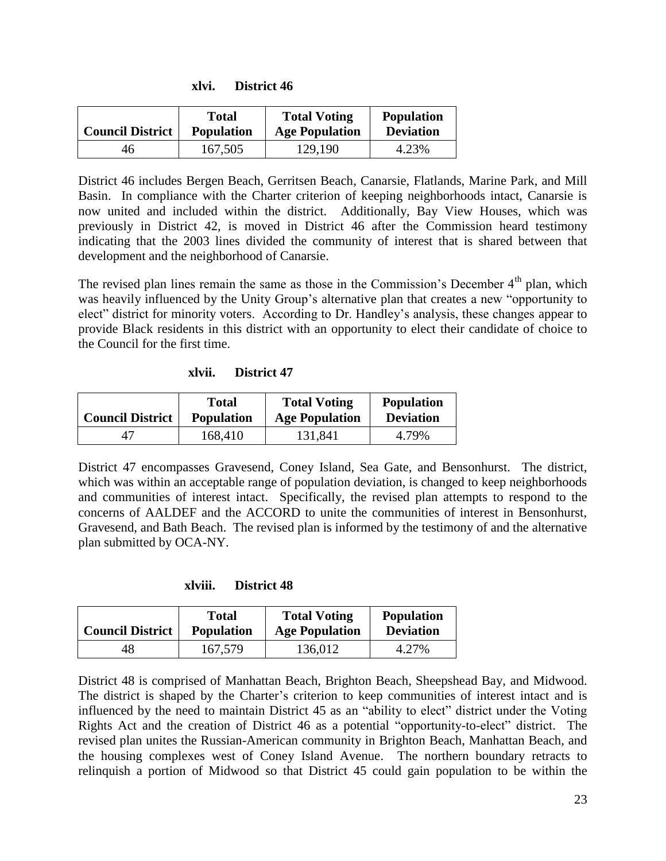| <b>Council District</b> | Total             | <b>Total Voting</b>   | <b>Population</b> |
|-------------------------|-------------------|-----------------------|-------------------|
|                         | <b>Population</b> | <b>Age Population</b> | <b>Deviation</b>  |
| 46                      | 167,505           | 129,190               | 4.23%             |

**xlvi. District 46**

District 46 includes Bergen Beach, Gerritsen Beach, Canarsie, Flatlands, Marine Park, and Mill Basin. In compliance with the Charter criterion of keeping neighborhoods intact, Canarsie is now united and included within the district. Additionally, Bay View Houses, which was previously in District 42, is moved in District 46 after the Commission heard testimony indicating that the 2003 lines divided the community of interest that is shared between that development and the neighborhood of Canarsie.

The revised plan lines remain the same as those in the Commission's December  $4<sup>th</sup>$  plan, which was heavily influenced by the Unity Group's alternative plan that creates a new "opportunity to elect" district for minority voters. According to Dr. Handley's analysis, these changes appear to provide Black residents in this district with an opportunity to elect their candidate of choice to the Council for the first time.

| <b>Council District</b> | <b>Total</b>      | <b>Total Voting</b>   | <b>Population</b> |
|-------------------------|-------------------|-----------------------|-------------------|
|                         | <b>Population</b> | <b>Age Population</b> | <b>Deviation</b>  |
| 47                      | 168,410           | 131,841               | 4.79%             |

District 47 encompasses Gravesend, Coney Island, Sea Gate, and Bensonhurst. The district, which was within an acceptable range of population deviation, is changed to keep neighborhoods and communities of interest intact. Specifically, the revised plan attempts to respond to the concerns of AALDEF and the ACCORD to unite the communities of interest in Bensonhurst, Gravesend, and Bath Beach. The revised plan is informed by the testimony of and the alternative plan submitted by OCA-NY.

**xlviii. District 48**

| <b>Council District</b> | Total             | <b>Total Voting</b>   | <b>Population</b> |
|-------------------------|-------------------|-----------------------|-------------------|
|                         | <b>Population</b> | <b>Age Population</b> | <b>Deviation</b>  |
| 48                      | 167,579           | 136,012               | 4.27%             |

District 48 is comprised of Manhattan Beach, Brighton Beach, Sheepshead Bay, and Midwood. The district is shaped by the Charter's criterion to keep communities of interest intact and is influenced by the need to maintain District 45 as an "ability to elect" district under the Voting Rights Act and the creation of District 46 as a potential "opportunity-to-elect" district. The revised plan unites the Russian-American community in Brighton Beach, Manhattan Beach, and the housing complexes west of Coney Island Avenue. The northern boundary retracts to relinquish a portion of Midwood so that District 45 could gain population to be within the